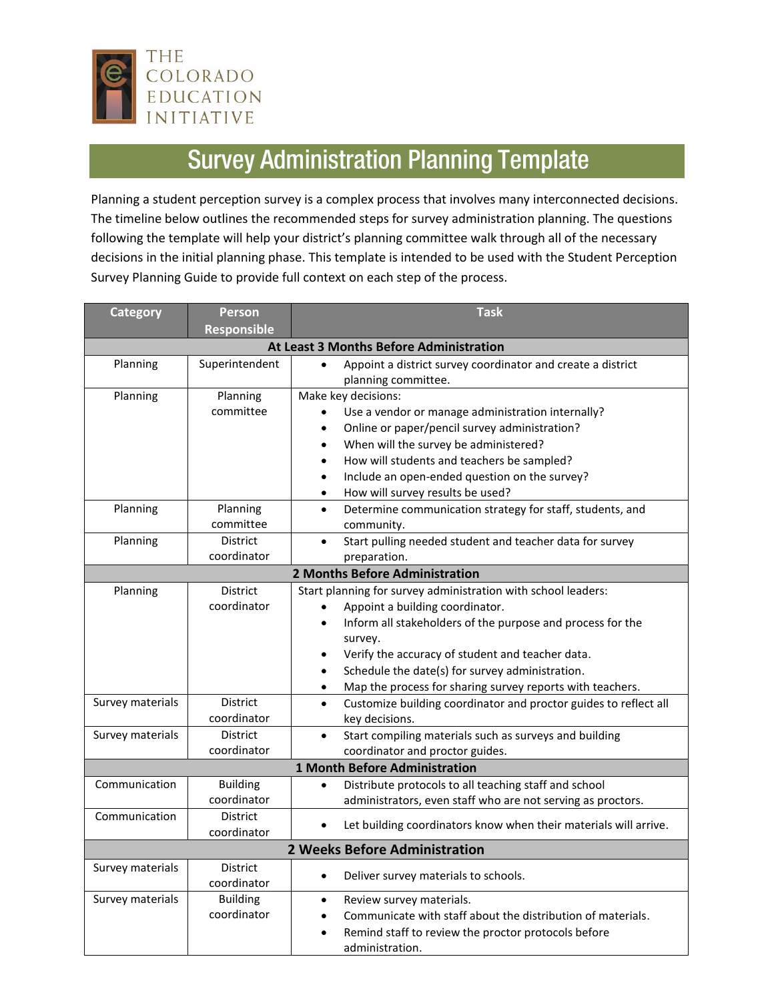

# **Survey Administration Planning Template**

Planning a student perception survey is a complex process that involves many interconnected decisions. The timeline below outlines the recommended steps for survey administration planning. The questions following the template will help your district's planning committee walk through all of the necessary decisions in the initial planning phase. This template is intended to be used with the Student Perception Survey Planning Guide to provide full context on each step of the process.

| <b>Category</b>                                | <b>Person</b>   | <b>Task</b>                                                                   |  |  |  |  |
|------------------------------------------------|-----------------|-------------------------------------------------------------------------------|--|--|--|--|
|                                                | Responsible     |                                                                               |  |  |  |  |
| <b>At Least 3 Months Before Administration</b> |                 |                                                                               |  |  |  |  |
| Planning                                       | Superintendent  | Appoint a district survey coordinator and create a district                   |  |  |  |  |
|                                                |                 | planning committee.                                                           |  |  |  |  |
| Planning                                       | Planning        | Make key decisions:                                                           |  |  |  |  |
|                                                | committee       | Use a vendor or manage administration internally?                             |  |  |  |  |
|                                                |                 | Online or paper/pencil survey administration?<br>$\bullet$                    |  |  |  |  |
|                                                |                 | When will the survey be administered?<br>$\bullet$                            |  |  |  |  |
|                                                |                 | How will students and teachers be sampled?<br>$\bullet$                       |  |  |  |  |
|                                                |                 | Include an open-ended question on the survey?<br>$\bullet$                    |  |  |  |  |
|                                                |                 | How will survey results be used?<br>$\bullet$                                 |  |  |  |  |
| Planning                                       | Planning        | Determine communication strategy for staff, students, and<br>$\bullet$        |  |  |  |  |
|                                                | committee       | community.                                                                    |  |  |  |  |
| Planning                                       | <b>District</b> | Start pulling needed student and teacher data for survey<br>$\bullet$         |  |  |  |  |
|                                                | coordinator     | preparation.                                                                  |  |  |  |  |
| 2 Months Before Administration                 |                 |                                                                               |  |  |  |  |
| Planning                                       | <b>District</b> | Start planning for survey administration with school leaders:                 |  |  |  |  |
|                                                | coordinator     | Appoint a building coordinator.                                               |  |  |  |  |
|                                                |                 | Inform all stakeholders of the purpose and process for the<br>$\bullet$       |  |  |  |  |
|                                                |                 | survey.                                                                       |  |  |  |  |
|                                                |                 | Verify the accuracy of student and teacher data.<br>$\bullet$                 |  |  |  |  |
|                                                |                 | Schedule the date(s) for survey administration.<br>$\bullet$                  |  |  |  |  |
|                                                |                 | Map the process for sharing survey reports with teachers.<br>$\bullet$        |  |  |  |  |
| Survey materials                               | District        | Customize building coordinator and proctor guides to reflect all<br>$\bullet$ |  |  |  |  |
|                                                | coordinator     | key decisions.                                                                |  |  |  |  |
| Survey materials                               | <b>District</b> | Start compiling materials such as surveys and building<br>$\bullet$           |  |  |  |  |
|                                                | coordinator     | coordinator and proctor guides.                                               |  |  |  |  |
|                                                |                 | <b>1 Month Before Administration</b>                                          |  |  |  |  |
| Communication                                  | <b>Building</b> | Distribute protocols to all teaching staff and school<br>$\bullet$            |  |  |  |  |
|                                                | coordinator     | administrators, even staff who are not serving as proctors.                   |  |  |  |  |
| Communication                                  | <b>District</b> | Let building coordinators know when their materials will arrive.<br>$\bullet$ |  |  |  |  |
|                                                | coordinator     |                                                                               |  |  |  |  |
| 2 Weeks Before Administration                  |                 |                                                                               |  |  |  |  |
| Survey materials                               | <b>District</b> |                                                                               |  |  |  |  |
|                                                | coordinator     | Deliver survey materials to schools.<br>$\bullet$                             |  |  |  |  |
| Survey materials                               | <b>Building</b> | Review survey materials.<br>$\bullet$                                         |  |  |  |  |
|                                                | coordinator     | Communicate with staff about the distribution of materials.                   |  |  |  |  |
|                                                |                 | Remind staff to review the proctor protocols before                           |  |  |  |  |
|                                                |                 | administration.                                                               |  |  |  |  |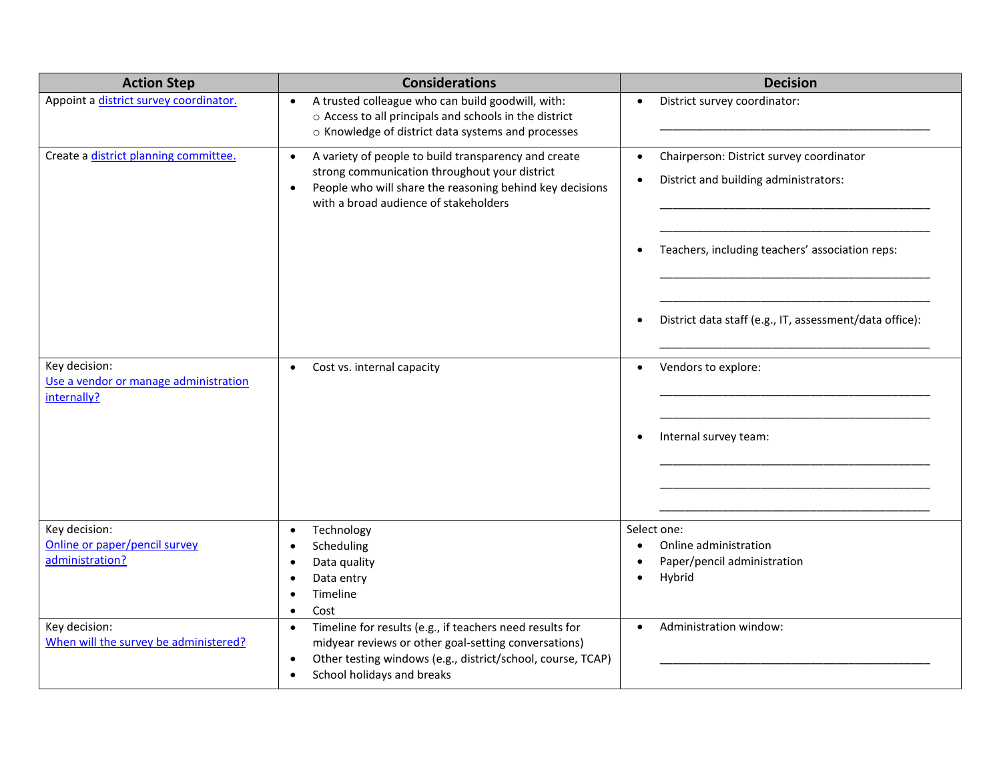| <b>Action Step</b>                                                    | <b>Considerations</b>                                                                                                                                                                                                                                | <b>Decision</b>                                                                   |  |
|-----------------------------------------------------------------------|------------------------------------------------------------------------------------------------------------------------------------------------------------------------------------------------------------------------------------------------------|-----------------------------------------------------------------------------------|--|
| Appoint a <i>district survey coordinator.</i>                         | A trusted colleague who can build goodwill, with:<br>$\bullet$<br>o Access to all principals and schools in the district<br>o Knowledge of district data systems and processes                                                                       | District survey coordinator:                                                      |  |
| Create a district planning committee.                                 | A variety of people to build transparency and create<br>$\bullet$<br>strong communication throughout your district<br>People who will share the reasoning behind key decisions<br>$\bullet$<br>with a broad audience of stakeholders                 | Chairperson: District survey coordinator<br>District and building administrators: |  |
|                                                                       |                                                                                                                                                                                                                                                      | Teachers, including teachers' association reps:                                   |  |
|                                                                       |                                                                                                                                                                                                                                                      | District data staff (e.g., IT, assessment/data office):                           |  |
| Key decision:<br>Use a vendor or manage administration<br>internally? | Cost vs. internal capacity<br>$\bullet$                                                                                                                                                                                                              | Vendors to explore:<br>$\bullet$                                                  |  |
|                                                                       |                                                                                                                                                                                                                                                      | Internal survey team:                                                             |  |
| Key decision:                                                         | Technology<br>$\bullet$                                                                                                                                                                                                                              | Select one:                                                                       |  |
| Online or paper/pencil survey                                         | Scheduling<br><b>C</b>                                                                                                                                                                                                                               | Online administration                                                             |  |
| administration?                                                       | Data quality                                                                                                                                                                                                                                         | Paper/pencil administration                                                       |  |
|                                                                       | Data entry                                                                                                                                                                                                                                           | Hybrid                                                                            |  |
|                                                                       | Timeline<br>Cost<br>$\bullet$                                                                                                                                                                                                                        |                                                                                   |  |
| Key decision:<br>When will the survey be administered?                | Timeline for results (e.g., if teachers need results for<br>$\bullet$<br>midyear reviews or other goal-setting conversations)<br>Other testing windows (e.g., district/school, course, TCAP)<br>$\bullet$<br>School holidays and breaks<br>$\bullet$ | Administration window:                                                            |  |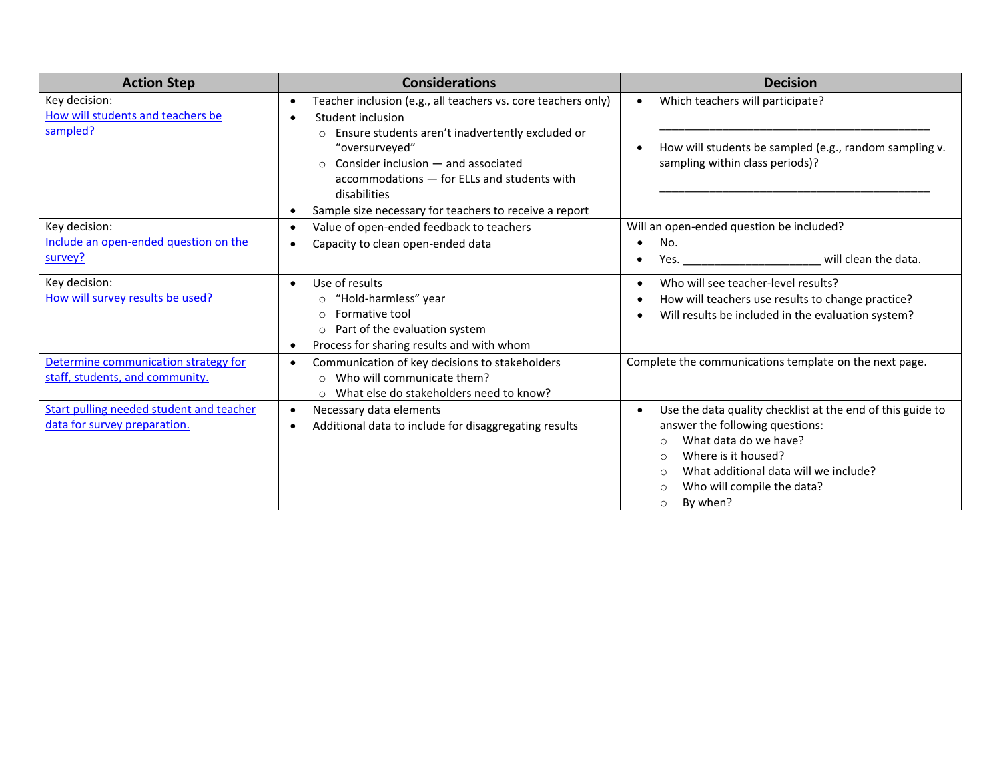| <b>Action Step</b>                                                       | <b>Considerations</b>                                                                                                                                                                                                                                                                                                                                          | <b>Decision</b>                                                                                                                                                                                                                                                                                                 |  |
|--------------------------------------------------------------------------|----------------------------------------------------------------------------------------------------------------------------------------------------------------------------------------------------------------------------------------------------------------------------------------------------------------------------------------------------------------|-----------------------------------------------------------------------------------------------------------------------------------------------------------------------------------------------------------------------------------------------------------------------------------------------------------------|--|
| Key decision:<br>How will students and teachers be<br>sampled?           | Teacher inclusion (e.g., all teachers vs. core teachers only)<br>$\bullet$<br>Student inclusion<br>$\bullet$<br>o Ensure students aren't inadvertently excluded or<br>"oversurveyed"<br>$\circ$ Consider inclusion $-$ and associated<br>accommodations - for ELLs and students with<br>disabilities<br>Sample size necessary for teachers to receive a report | Which teachers will participate?<br>$\bullet$<br>How will students be sampled (e.g., random sampling v.<br>sampling within class periods)?                                                                                                                                                                      |  |
| Key decision:<br>Include an open-ended question on the<br>survey?        | Value of open-ended feedback to teachers<br>$\bullet$<br>Capacity to clean open-ended data<br>$\bullet$                                                                                                                                                                                                                                                        | Will an open-ended question be included?<br>No.<br>will clean the data.<br><b>The Second Second Second Second Second Second Second Second Second Second Second Second Second Second Second Second Second Second Second Second Second Second Second Second Second Second Second Second Second Second Second </b> |  |
| Key decision:<br>How will survey results be used?                        | Use of results<br>$\bullet$<br>o "Hold-harmless" year<br>$\circ$ Formative tool<br>$\circ$ Part of the evaluation system<br>Process for sharing results and with whom<br>٠                                                                                                                                                                                     | Who will see teacher-level results?<br>$\bullet$<br>How will teachers use results to change practice?<br>-<br>Will results be included in the evaluation system?                                                                                                                                                |  |
| Determine communication strategy for<br>staff, students, and community.  | Communication of key decisions to stakeholders<br>$\bullet$<br>$\circ$ Who will communicate them?<br>$\circ$ What else do stakeholders need to know?                                                                                                                                                                                                           | Complete the communications template on the next page.                                                                                                                                                                                                                                                          |  |
| Start pulling needed student and teacher<br>data for survey preparation. | Necessary data elements<br>$\bullet$<br>Additional data to include for disaggregating results<br>$\bullet$                                                                                                                                                                                                                                                     | Use the data quality checklist at the end of this guide to<br>$\bullet$<br>answer the following questions:<br>What data do we have?<br>$\Omega$<br>Where is it housed?<br>$\Omega$<br>What additional data will we include?<br>$\circ$<br>Who will compile the data?<br>$\circ$<br>By when?<br>$\circ$          |  |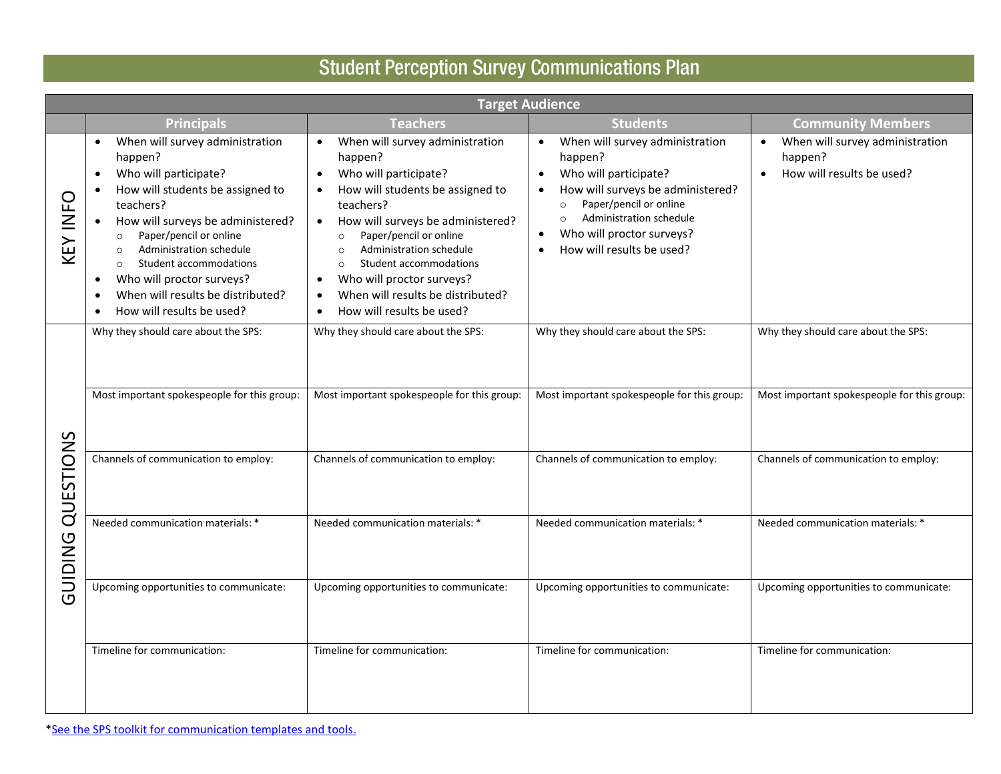## **Student Perception Survey Communications Plan**

|                | <b>Target Audience</b>                                                                                                                                                                                                                                                                                                                                                                                          |                                                                                                                                                                                                                                                                                                                                                                                                                              |                                                                                                                                                                                                                                                                                                                |                                                                                      |  |  |  |  |
|----------------|-----------------------------------------------------------------------------------------------------------------------------------------------------------------------------------------------------------------------------------------------------------------------------------------------------------------------------------------------------------------------------------------------------------------|------------------------------------------------------------------------------------------------------------------------------------------------------------------------------------------------------------------------------------------------------------------------------------------------------------------------------------------------------------------------------------------------------------------------------|----------------------------------------------------------------------------------------------------------------------------------------------------------------------------------------------------------------------------------------------------------------------------------------------------------------|--------------------------------------------------------------------------------------|--|--|--|--|
|                | <b>Principals</b>                                                                                                                                                                                                                                                                                                                                                                                               | <b>Teachers</b>                                                                                                                                                                                                                                                                                                                                                                                                              | <b>Students</b>                                                                                                                                                                                                                                                                                                | <b>Community Members</b>                                                             |  |  |  |  |
| KEY INFO       | When will survey administration<br>$\bullet$<br>happen?<br>Who will participate?<br>$\bullet$<br>How will students be assigned to<br>teachers?<br>How will surveys be administered?<br>Paper/pencil or online<br>$\circ$<br>Administration schedule<br>$\circ$<br>Student accommodations<br>$\circ$<br>Who will proctor surveys?<br>$\bullet$<br>When will results be distributed?<br>How will results be used? | When will survey administration<br>happen?<br>Who will participate?<br>$\bullet$<br>How will students be assigned to<br>teachers?<br>How will surveys be administered?<br>$\bullet$<br>Paper/pencil or online<br>$\circ$<br>Administration schedule<br>$\circ$<br>Student accommodations<br>$\circ$<br>Who will proctor surveys?<br>$\bullet$<br>When will results be distributed?<br>How will results be used?<br>$\bullet$ | When will survey administration<br>$\bullet$<br>happen?<br>Who will participate?<br>$\bullet$<br>How will surveys be administered?<br>$\bullet$<br>Paper/pencil or online<br>$\circ$<br>Administration schedule<br>$\circ$<br>Who will proctor surveys?<br>$\bullet$<br>How will results be used?<br>$\bullet$ | When will survey administration<br>happen?<br>How will results be used?<br>$\bullet$ |  |  |  |  |
|                | Why they should care about the SPS:<br>Most important spokespeople for this group:                                                                                                                                                                                                                                                                                                                              | Why they should care about the SPS:<br>Most important spokespeople for this group:                                                                                                                                                                                                                                                                                                                                           | Why they should care about the SPS:<br>Most important spokespeople for this group:                                                                                                                                                                                                                             | Why they should care about the SPS:<br>Most important spokespeople for this group:   |  |  |  |  |
|                |                                                                                                                                                                                                                                                                                                                                                                                                                 |                                                                                                                                                                                                                                                                                                                                                                                                                              |                                                                                                                                                                                                                                                                                                                |                                                                                      |  |  |  |  |
| QUESTIONS      | Channels of communication to employ:                                                                                                                                                                                                                                                                                                                                                                            | Channels of communication to employ:                                                                                                                                                                                                                                                                                                                                                                                         | Channels of communication to employ:                                                                                                                                                                                                                                                                           | Channels of communication to employ:                                                 |  |  |  |  |
| <b>GUIDING</b> | Needed communication materials: *                                                                                                                                                                                                                                                                                                                                                                               | Needed communication materials: *                                                                                                                                                                                                                                                                                                                                                                                            | Needed communication materials: *                                                                                                                                                                                                                                                                              | Needed communication materials: *                                                    |  |  |  |  |
|                | Upcoming opportunities to communicate:                                                                                                                                                                                                                                                                                                                                                                          | Upcoming opportunities to communicate:                                                                                                                                                                                                                                                                                                                                                                                       | Upcoming opportunities to communicate:                                                                                                                                                                                                                                                                         | Upcoming opportunities to communicate:                                               |  |  |  |  |
|                | Timeline for communication:                                                                                                                                                                                                                                                                                                                                                                                     | Timeline for communication:                                                                                                                                                                                                                                                                                                                                                                                                  | Timeline for communication:                                                                                                                                                                                                                                                                                    | Timeline for communication:                                                          |  |  |  |  |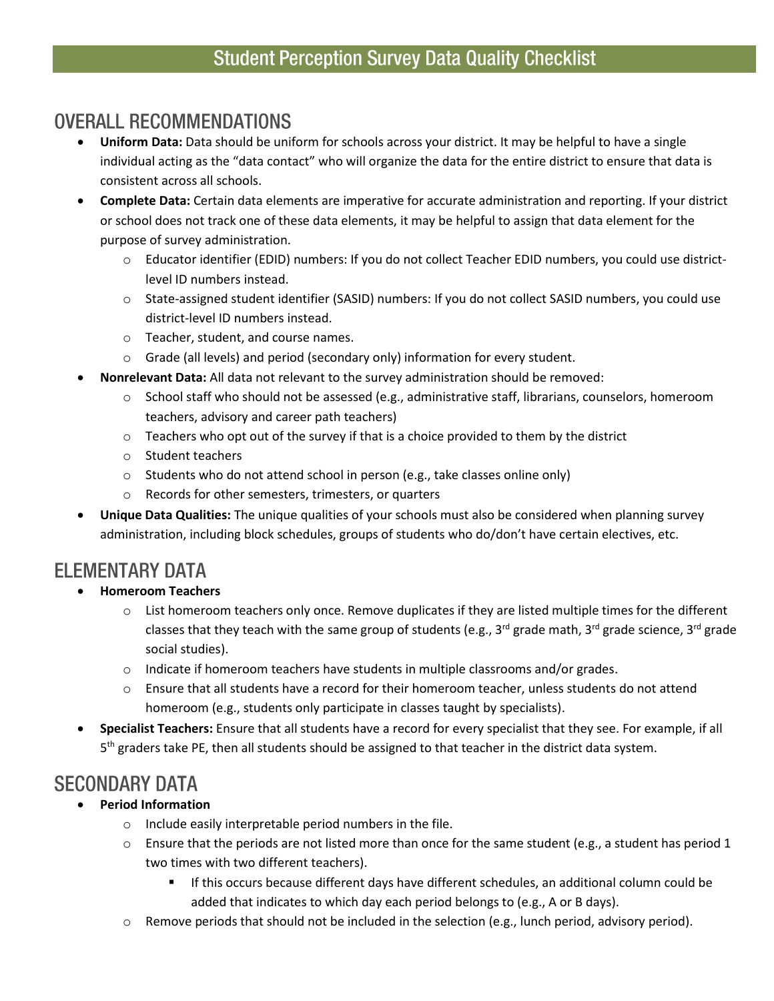#### **OVERALL RECOMMENDATIONS**

- **Uniform Data:** Data should be uniform for schools across your district. It may be helpful to have a single individual acting as the "data contact" who will organize the data for the entire district to ensure that data is consistent across all schools.
- **Complete Data:** Certain data elements are imperative for accurate administration and reporting. If your district or school does not track one of these data elements, it may be helpful to assign that data element for the purpose of survey administration.
	- o Educator identifier (EDID) numbers: If you do not collect Teacher EDID numbers, you could use districtlevel ID numbers instead.
	- o State-assigned student identifier (SASID) numbers: If you do not collect SASID numbers, you could use district-level ID numbers instead.
	- o Teacher, student, and course names.
	- o Grade (all levels) and period (secondary only) information for every student.
- **Nonrelevant Data:** All data not relevant to the survey administration should be removed:
	- o School staff who should not be assessed (e.g., administrative staff, librarians, counselors, homeroom teachers, advisory and career path teachers)
	- o Teachers who opt out of the survey if that is a choice provided to them by the district
	- o Student teachers
	- o Students who do not attend school in person (e.g., take classes online only)
	- o Records for other semesters, trimesters, or quarters
- **Unique Data Qualities:** The unique qualities of your schools must also be considered when planning survey administration, including block schedules, groups of students who do/don't have certain electives, etc.

#### **ELEMENTARY DATA**

- **Homeroom Teachers**
	- o List homeroom teachers only once. Remove duplicates if they are listed multiple times for the different classes that they teach with the same group of students (e.g., 3<sup>rd</sup> grade math, 3<sup>rd</sup> grade science, 3<sup>rd</sup> grade social studies).
	- o Indicate if homeroom teachers have students in multiple classrooms and/or grades.
	- o Ensure that all students have a record for their homeroom teacher, unless students do not attend homeroom (e.g., students only participate in classes taught by specialists).
- **Specialist Teachers:** Ensure that all students have a record for every specialist that they see. For example, if all 5<sup>th</sup> graders take PE, then all students should be assigned to that teacher in the district data system.

### **SECONDARY DATA**

#### **Period Information**

- o Include easily interpretable period numbers in the file.
- $\circ$  Ensure that the periods are not listed more than once for the same student (e.g., a student has period 1 two times with two different teachers).
	- If this occurs because different days have different schedules, an additional column could be added that indicates to which day each period belongs to (e.g., A or B days).
- o Remove periods that should not be included in the selection (e.g., lunch period, advisory period).